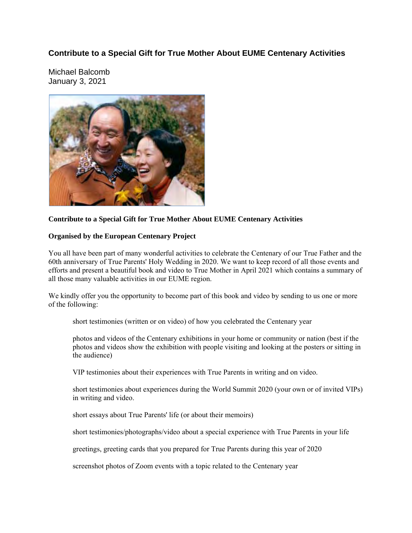## **Contribute to a Special Gift for True Mother About EUME Centenary Activities**

Michael Balcomb January 3, 2021



## **Contribute to a Special Gift for True Mother About EUME Centenary Activities**

## **Organised by the European Centenary Project**

You all have been part of many wonderful activities to celebrate the Centenary of our True Father and the 60th anniversary of True Parents' Holy Wedding in 2020. We want to keep record of all those events and efforts and present a beautiful book and video to True Mother in April 2021 which contains a summary of all those many valuable activities in our EUME region.

We kindly offer you the opportunity to become part of this book and video by sending to us one or more of the following:

short testimonies (written or on video) of how you celebrated the Centenary year

photos and videos of the Centenary exhibitions in your home or community or nation (best if the photos and videos show the exhibition with people visiting and looking at the posters or sitting in the audience)

VIP testimonies about their experiences with True Parents in writing and on video.

short testimonies about experiences during the World Summit 2020 (your own or of invited VIPs) in writing and video.

short essays about True Parents' life (or about their memoirs)

short testimonies/photographs/video about a special experience with True Parents in your life

greetings, greeting cards that you prepared for True Parents during this year of 2020

screenshot photos of Zoom events with a topic related to the Centenary year